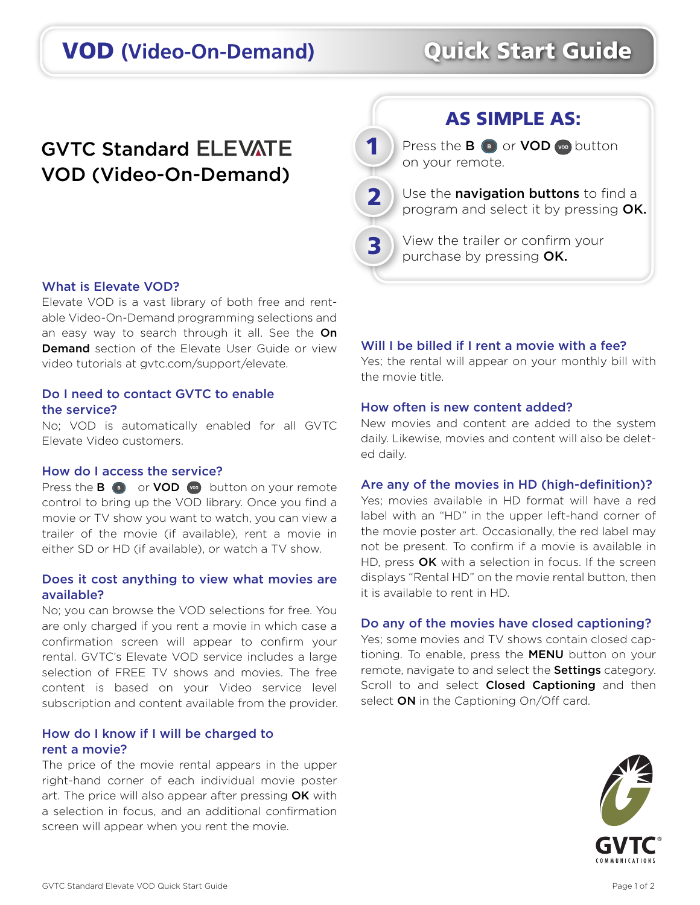# VOD **(Video-On-Demand)** Quick Start Guide

## **GVTC Standard ELEVATE** VOD (Video-On-Demand)

# 2 3

1

Press the  $B \odot$  or VOD  $\odot$  button on your remote.

AS SIMPLE AS:

Use the **navigation buttons** to find a program and select it by pressing OK.

View the trailer or confirm your purchase by pressing OK.

#### What is Elevate VOD?

Elevate VOD is a vast library of both free and rentable Video-On-Demand programming selections and an easy way to search through it all. See the On Demand section of the Elevate User Guide or view video tutorials at gvtc.com/support/elevate.

### Do I need to contact GVTC to enable the service?

No; VOD is automatically enabled for all GVTC Elevate Video customers.

#### How do I access the service?

Press the  $\mathbf{B}$   $\bullet$  or **VOD**  $\bullet$  button on your remote control to bring up the VOD library. Once you find a movie or TV show you want to watch, you can view a trailer of the movie (if available), rent a movie in either SD or HD (if available), or watch a TV show.

#### Does it cost anything to view what movies are available?

No; you can browse the VOD selections for free. You are only charged if you rent a movie in which case a confirmation screen will appear to confirm your rental. GVTC's Elevate VOD service includes a large selection of FREE TV shows and movies. The free content is based on your Video service level subscription and content available from the provider.

#### How do I know if I will be charged to rent a movie?

The price of the movie rental appears in the upper right-hand corner of each individual movie poster art. The price will also appear after pressing OK with a selection in focus, and an additional confirmation screen will appear when you rent the movie.

#### Will I be billed if I rent a movie with a fee?

Yes; the rental will appear on your monthly bill with the movie title.

#### How often is new content added?

New movies and content are added to the system daily. Likewise, movies and content will also be deleted daily.

#### Are any of the movies in HD (high-definition)?

Yes; movies available in HD format will have a red label with an "HD" in the upper left-hand corner of the movie poster art. Occasionally, the red label may not be present. To confirm if a movie is available in HD, press OK with a selection in focus. If the screen displays "Rental HD" on the movie rental button, then it is available to rent in HD.

#### Do any of the movies have closed captioning?

Yes; some movies and TV shows contain closed captioning. To enable, press the MENU button on your remote, navigate to and select the **Settings** category. Scroll to and select **Closed Captioning** and then select ON in the Captioning On/Off card.